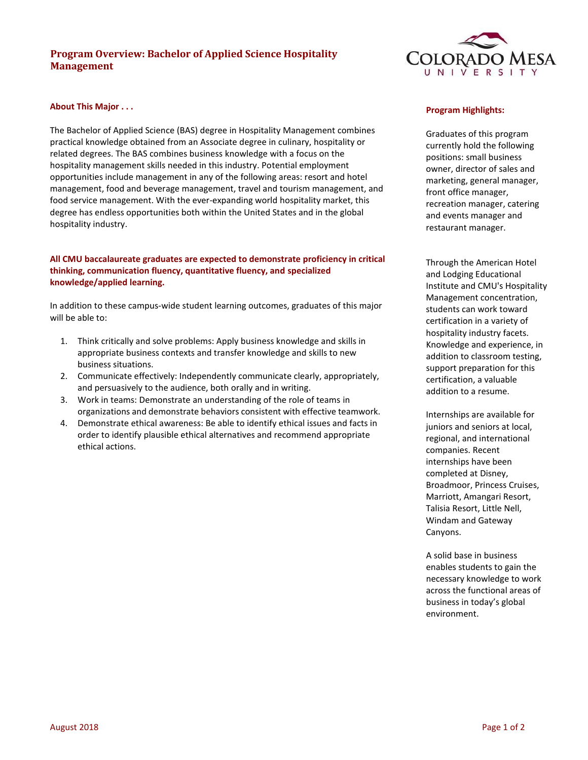# **Program Overview: Bachelor of Applied Science Hospitality Management**



### **About This Major . . .**

The Bachelor of Applied Science (BAS) degree in Hospitality Management combines practical knowledge obtained from an Associate degree in culinary, hospitality or related degrees. The BAS combines business knowledge with a focus on the hospitality management skills needed in this industry. Potential employment opportunities include management in any of the following areas: resort and hotel management, food and beverage management, travel and tourism management, and food service management. With the ever-expanding world hospitality market, this degree has endless opportunities both within the United States and in the global hospitality industry.

# **All CMU baccalaureate graduates are expected to demonstrate proficiency in critical thinking, communication fluency, quantitative fluency, and specialized knowledge/applied learning.**

In addition to these campus‐wide student learning outcomes, graduates of this major will be able to:

- 1. Think critically and solve problems: Apply business knowledge and skills in appropriate business contexts and transfer knowledge and skills to new business situations.
- 2. Communicate effectively: Independently communicate clearly, appropriately, and persuasively to the audience, both orally and in writing.
- 3. Work in teams: Demonstrate an understanding of the role of teams in organizations and demonstrate behaviors consistent with effective teamwork.
- 4. Demonstrate ethical awareness: Be able to identify ethical issues and facts in order to identify plausible ethical alternatives and recommend appropriate ethical actions.

#### **Program Highlights:**

Graduates of this program currently hold the following positions: small business owner, director of sales and marketing, general manager, front office manager, recreation manager, catering and events manager and restaurant manager.

Through the American Hotel and Lodging Educational Institute and CMU's Hospitality Management concentration, students can work toward certification in a variety of hospitality industry facets. Knowledge and experience, in addition to classroom testing, support preparation for this certification, a valuable addition to a resume.

Internships are available for juniors and seniors at local, regional, and international companies. Recent internships have been completed at Disney, Broadmoor, Princess Cruises, Marriott, Amangari Resort, Talisia Resort, Little Nell, Windam and Gateway Canyons.

A solid base in business enables students to gain the necessary knowledge to work across the functional areas of business in today's global environment.